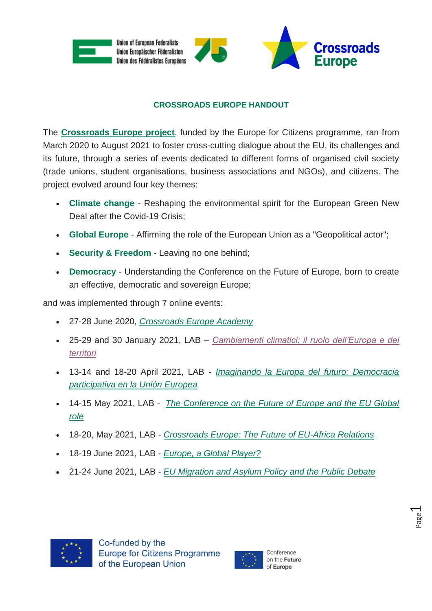

## **CROSSROADS EUROPE HANDOUT**

The **[Crossroads Europe project](https://www.crossroadseurope.eu/)**, funded by the Europe for Citizens programme, ran from March 2020 to August 2021 to foster cross-cutting dialogue about the EU, its challenges and its future, through a series of events dedicated to different forms of organised civil society (trade unions, student organisations, business associations and NGOs), and citizens. The project evolved around four key themes:

- **Climate change** Reshaping the environmental spirit for the European Green New Deal after the Covid-19 Crisis:
- **Global Europe** Affirming the role of the European Union as a "Geopolitical actor";
- **Security & Freedom** Leaving no one behind;
- **Democracy** Understanding the Conference on the Future of Europe, born to create an effective, democratic and sovereign Europe;

and was implemented through 7 online events:

- 27-28 June 2020, *[Crossroads Europe Academy](https://9511f58e-c03d-412b-b2cd-c829199e96f1.filesusr.com/ugd/0b3fb2_99786e21afac4b20af90706333e02b0c.pdf)*
- 25-29 and 30 January 2021, LAB *[Cambiamenti climatici: il ruolo dell'Europa e dei](https://9511f58e-c03d-412b-b2cd-c829199e96f1.filesusr.com/ugd/0b3fb2_ed75bf98bcb84b399bdb8c16fc546e45.pdf)  [territori](https://9511f58e-c03d-412b-b2cd-c829199e96f1.filesusr.com/ugd/0b3fb2_ed75bf98bcb84b399bdb8c16fc546e45.pdf)*
- 13-14 and 18-20 April 2021, LAB *[Imaginando la Europa del futuro: Democracia](https://9511f58e-c03d-412b-b2cd-c829199e96f1.filesusr.com/ugd/0b3fb2_e1a80fe195bb4d25956ab3b0abbf3470.pdf)  [participativa en la Unión Europea](https://9511f58e-c03d-412b-b2cd-c829199e96f1.filesusr.com/ugd/0b3fb2_e1a80fe195bb4d25956ab3b0abbf3470.pdf)*
- 14-15 May 2021, LAB *[The Conference on the Future of Europe and the EU Global](https://9511f58e-c03d-412b-b2cd-c829199e96f1.filesusr.com/ugd/0b3fb2_3c2f0d2ec1d6417080cba3a9c5b4ea51.pdf)  [role](https://9511f58e-c03d-412b-b2cd-c829199e96f1.filesusr.com/ugd/0b3fb2_3c2f0d2ec1d6417080cba3a9c5b4ea51.pdf)*
- 18-20, May 2021, LAB *[Crossroads Europe: The Future of EU-Africa Relations](https://9511f58e-c03d-412b-b2cd-c829199e96f1.filesusr.com/ugd/0b3fb2_6b36728fef5b4300982f98fa7c9e1a83.pdf)*
- 18-19 June 2021, LAB *[Europe, a Global Player?](https://9511f58e-c03d-412b-b2cd-c829199e96f1.filesusr.com/ugd/0b3fb2_7a84abb9424046a58ec211ce56c147bf.pdf)*
- 21-24 June 2021, LAB *[EU Migration and Asylum Policy and the Public Debate](https://9511f58e-c03d-412b-b2cd-c829199e96f1.filesusr.com/ugd/0b3fb2_4cc02231eb4e44969dbe55c2144eed1b.pdf)*



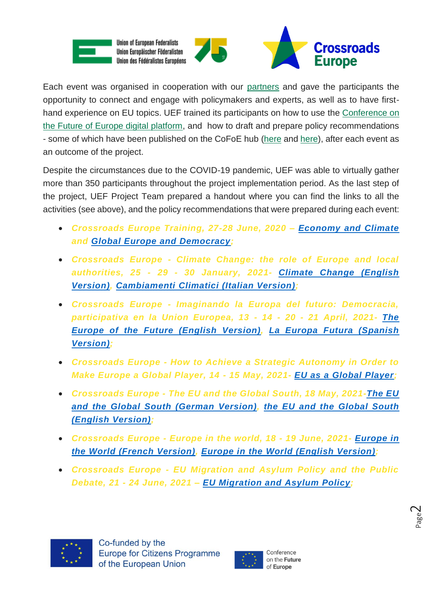

Each event was organised in cooperation with our [partners](https://www.crossroadseurope.eu/partners) and gave the participants the opportunity to connect and engage with policymakers and experts, as well as to have firsthand experience on EU topics. UEF trained its participants on how to use the [Conference on](https://www.youtube.com/watch?v=GwMZUi3x_Yo&t=2s)  [the Future of Europe digital platform,](https://www.youtube.com/watch?v=GwMZUi3x_Yo&t=2s) and how to draft and prepare policy recommendations - some of which have been published on the CoFoE hub [\(here](https://futureu.europa.eu/processes/EUInTheWorld/f/17/meetings/15280) and [here\)](https://futureu.europa.eu/processes/ValuesRights/f/11/meetings/507), after each event as an outcome of the project.

Despite the circumstances due to the COVID-19 pandemic, UEF was able to virtually gather more than 350 participants throughout the project implementation period. As the last step of the project, UEF Project Team prepared a handout where you can find the links to all the activities (see above), and the policy recommendations that were prepared during each event:

- *Crossroads Europe Training, 27-28 June, 2020 – [Economy and Climate](https://9511f58e-c03d-412b-b2cd-c829199e96f1.filesusr.com/ugd/0b3fb2_d7364ac6bbe5402492e3d2ba20ee42c5.pdf) and [Global Europe and Democracy;](https://9511f58e-c03d-412b-b2cd-c829199e96f1.filesusr.com/ugd/0b3fb2_7aea98a07f0b41ad96a09415346f95d8.pdf)*
- *Crossroads Europe - Climate Change: the role of Europe and local authorities, 25 - 29 - 30 January, 2021- [Climate Change \(English](https://9511f58e-c03d-412b-b2cd-c829199e96f1.filesusr.com/ugd/0b3fb2_30bd9535be96486aa48c3ea3101ad6ff.pdf) [Version\),](https://9511f58e-c03d-412b-b2cd-c829199e96f1.filesusr.com/ugd/0b3fb2_30bd9535be96486aa48c3ea3101ad6ff.pdf) [Cambiamenti Climatici \(Italian Version\);](https://9511f58e-c03d-412b-b2cd-c829199e96f1.filesusr.com/ugd/0b3fb2_0eab5b7120084fb2b64310866c1c689c.pdf)*
- *Crossroads Europe - Imaginando la Europa del futuro: Democracia, participativa en la Union Europea, 13 - 14 - 20 - 21 April, 2021- [The](https://9511f58e-c03d-412b-b2cd-c829199e96f1.filesusr.com/ugd/0b3fb2_e8f40878aaec473c99cf153a5a622fb2.pdf)  [Europe of the Future \(English](https://9511f58e-c03d-412b-b2cd-c829199e96f1.filesusr.com/ugd/0b3fb2_e8f40878aaec473c99cf153a5a622fb2.pdf) Version), [La Europa Futura \(Spanish](https://9511f58e-c03d-412b-b2cd-c829199e96f1.filesusr.com/ugd/0b3fb2_b50097d8833a4673808889a1d0edc4b2.pdf)  [Version\);](https://9511f58e-c03d-412b-b2cd-c829199e96f1.filesusr.com/ugd/0b3fb2_b50097d8833a4673808889a1d0edc4b2.pdf)*
- *Crossroads Europe - How to Achieve a Strategic Autonomy in Order to Make Europe a Global Player, 14 - 15 May, 2021- EU [as a Global Player;](https://9511f58e-c03d-412b-b2cd-c829199e96f1.filesusr.com/ugd/0b3fb2_d22e488dba0a463ea9f8aa56b60c63d4.pdf)*
- *Crossroads Europe - The EU and the Global South, 18 May, 2021[-The EU](https://9511f58e-c03d-412b-b2cd-c829199e96f1.filesusr.com/ugd/0b3fb2_ea273ce2845541648b8379a38f1d6018.pdf) [and the Global South \(German Version\),](https://9511f58e-c03d-412b-b2cd-c829199e96f1.filesusr.com/ugd/0b3fb2_ea273ce2845541648b8379a38f1d6018.pdf) the EU [and the Global South](https://9511f58e-c03d-412b-b2cd-c829199e96f1.filesusr.com/ugd/0b3fb2_8a9208a341a948fe93017116e13262b8.pdf)  [\(English Version\);](https://9511f58e-c03d-412b-b2cd-c829199e96f1.filesusr.com/ugd/0b3fb2_8a9208a341a948fe93017116e13262b8.pdf)*
- *Crossroads Europe - Europe in the world, 18 - 19 June, 2021- [Europe in](https://9511f58e-c03d-412b-b2cd-c829199e96f1.filesusr.com/ugd/0b3fb2_8a01bc29022545c8a1dd91e6ad656834.pdf)  [the World \(French Version\), Europe in the World \(English Version\);](https://9511f58e-c03d-412b-b2cd-c829199e96f1.filesusr.com/ugd/0b3fb2_8a01bc29022545c8a1dd91e6ad656834.pdf)*
- *Crossroads Europe - EU Migration and Asylum Policy and the Public Debate, 21 - 24 June, 2021 – [EU Migration and Asylum Policy;](https://9511f58e-c03d-412b-b2cd-c829199e96f1.filesusr.com/ugd/0b3fb2_75c14d667593463aa68e27b1a052d4f8.pdf)*